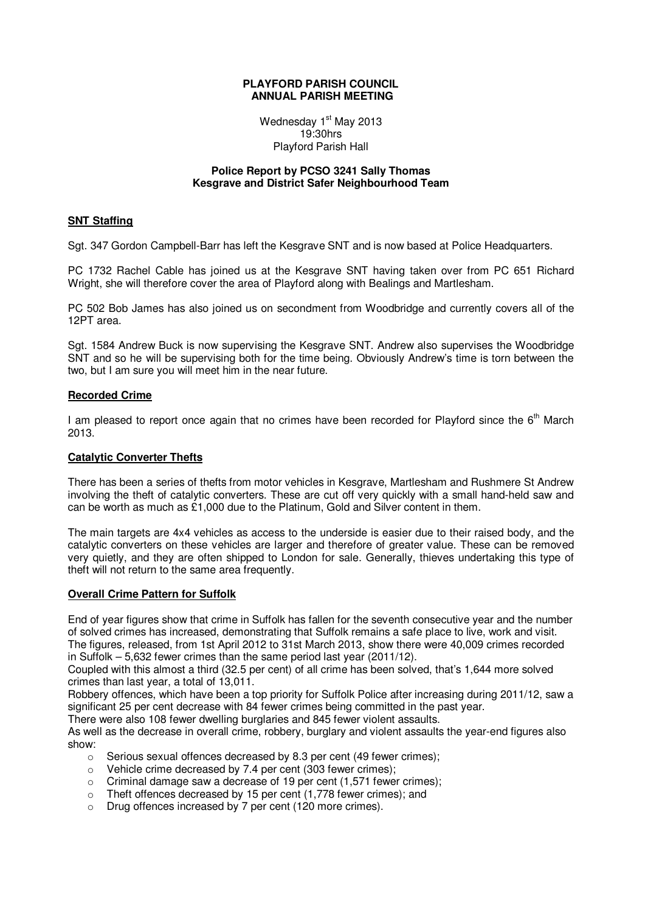#### **PLAYFORD PARISH COUNCIL ANNUAL PARISH MEETING**

Wednesday 1<sup>st</sup> May 2013 19:30hrs Playford Parish Hall

#### **Police Report by PCSO 3241 Sally Thomas Kesgrave and District Safer Neighbourhood Team**

### **SNT Staffing**

Sgt. 347 Gordon Campbell-Barr has left the Kesgrave SNT and is now based at Police Headquarters.

PC 1732 Rachel Cable has joined us at the Kesgrave SNT having taken over from PC 651 Richard Wright, she will therefore cover the area of Playford along with Bealings and Martlesham.

PC 502 Bob James has also joined us on secondment from Woodbridge and currently covers all of the 12PT area.

Sgt. 1584 Andrew Buck is now supervising the Kesgrave SNT. Andrew also supervises the Woodbridge SNT and so he will be supervising both for the time being. Obviously Andrew's time is torn between the two, but I am sure you will meet him in the near future.

#### **Recorded Crime**

I am pleased to report once again that no crimes have been recorded for Playford since the 6<sup>th</sup> March 2013.

#### **Catalytic Converter Thefts**

There has been a series of thefts from motor vehicles in Kesgrave, Martlesham and Rushmere St Andrew involving the theft of catalytic converters. These are cut off very quickly with a small hand-held saw and can be worth as much as £1,000 due to the Platinum, Gold and Silver content in them.

The main targets are 4x4 vehicles as access to the underside is easier due to their raised body, and the catalytic converters on these vehicles are larger and therefore of greater value. These can be removed very quietly, and they are often shipped to London for sale. Generally, thieves undertaking this type of theft will not return to the same area frequently.

## **Overall Crime Pattern for Suffolk**

End of year figures show that crime in Suffolk has fallen for the seventh consecutive year and the number of solved crimes has increased, demonstrating that Suffolk remains a safe place to live, work and visit. The figures, released, from 1st April 2012 to 31st March 2013, show there were 40,009 crimes recorded in Suffolk – 5,632 fewer crimes than the same period last year (2011/12).

Coupled with this almost a third (32.5 per cent) of all crime has been solved, that's 1,644 more solved crimes than last year, a total of 13,011.

Robbery offences, which have been a top priority for Suffolk Police after increasing during 2011/12, saw a significant 25 per cent decrease with 84 fewer crimes being committed in the past year.

There were also 108 fewer dwelling burglaries and 845 fewer violent assaults.

As well as the decrease in overall crime, robbery, burglary and violent assaults the year-end figures also show:

- o Serious sexual offences decreased by 8.3 per cent (49 fewer crimes);
- o Vehicle crime decreased by 7.4 per cent (303 fewer crimes);
- $\circ$  Criminal damage saw a decrease of 19 per cent (1.571 fewer crimes):
- o Theft offences decreased by 15 per cent (1,778 fewer crimes); and
- o Drug offences increased by 7 per cent (120 more crimes).